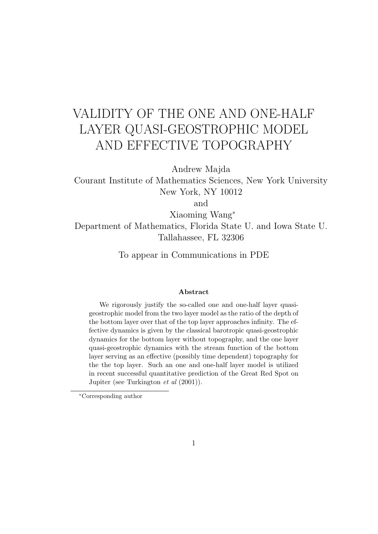# VALIDITY OF THE ONE AND ONE-HALF LAYER QUASI-GEOSTROPHIC MODEL AND EFFECTIVE TOPOGRAPHY

Andrew Majda

Courant Institute of Mathematics Sciences, New York University New York, NY 10012

and

Xiaoming Wang<sup>∗</sup> Department of Mathematics, Florida State U. and Iowa State U. Tallahassee, FL 32306

To appear in Communications in PDE

#### Abstract

We rigorously justify the so-called one and one-half layer quasigeostrophic model from the two layer model as the ratio of the depth of the bottom layer over that of the top layer approaches infinity. The effective dynamics is given by the classical barotropic quasi-geostrophic dynamics for the bottom layer without topography, and the one layer quasi-geostrophic dynamics with the stream function of the bottom layer serving as an effective (possibly time dependent) topography for the the top layer. Such an one and one-half layer model is utilized in recent successful quantitative prediction of the Great Red Spot on Jupiter (see Turkington et al (2001)).

<sup>∗</sup>Corresponding author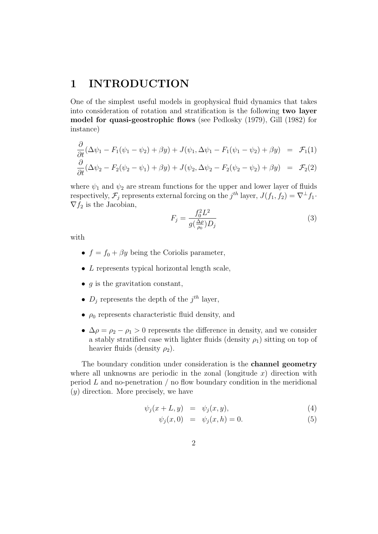# 1 INTRODUCTION

One of the simplest useful models in geophysical fluid dynamics that takes into consideration of rotation and stratification is the following two layer model for quasi-geostrophic flows (see Pedlosky (1979), Gill (1982) for instance)

$$
\frac{\partial}{\partial t}(\Delta \psi_1 - F_1(\psi_1 - \psi_2) + \beta y) + J(\psi_1, \Delta \psi_1 - F_1(\psi_1 - \psi_2) + \beta y) = \mathcal{F}_1(1) \n\frac{\partial}{\partial t}(\Delta \psi_2 - F_2(\psi_2 - \psi_1) + \beta y) + J(\psi_2, \Delta \psi_2 - F_2(\psi_2 - \psi_2) + \beta y) = \mathcal{F}_2(2)
$$

where  $\psi_1$  and  $\psi_2$  are stream functions for the upper and lower layer of fluids respectively,  $\mathcal{F}_j$  represents external forcing on the  $j^{th}$  layer,  $J(f_1, f_2) = \nabla^{\perp} f_1$ .  $\nabla f_2$  is the Jacobian,

$$
F_j = \frac{f_0^2 L^2}{g(\frac{\Delta \rho}{\rho_0}) D_j} \tag{3}
$$

with

- $f = f_0 + \beta y$  being the Coriolis parameter,
- $\bullet$  *L* represents typical horizontal length scale,
- $q$  is the gravitation constant,
- $D_j$  represents the depth of the  $j^{th}$  layer,
- $\rho_0$  represents characteristic fluid density, and
- $\Delta \rho = \rho_2 \rho_1 > 0$  represents the difference in density, and we consider a stably stratified case with lighter fluids (density  $\rho_1$ ) sitting on top of heavier fluids (density  $\rho_2$ ).

The boundary condition under consideration is the channel geometry where all unknowns are periodic in the zonal (longitude  $x$ ) direction with period  $L$  and no-penetration  $\ell$  no flow boundary condition in the meridional  $(y)$  direction. More precisely, we have

$$
\psi_j(x+L, y) = \psi_j(x, y), \tag{4}
$$

$$
\psi_j(x,0) = \psi_j(x,h) = 0.
$$
 (5)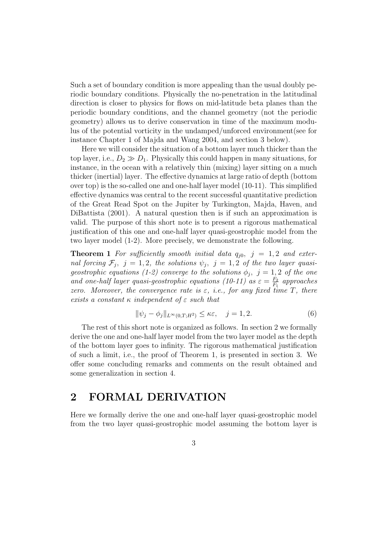Such a set of boundary condition is more appealing than the usual doubly periodic boundary conditions. Physically the no-penetration in the latitudinal direction is closer to physics for flows on mid-latitude beta planes than the periodic boundary conditions, and the channel geometry (not the periodic geometry) allows us to derive conservation in time of the maximum modulus of the potential vorticity in the undamped/unforced environment(see for instance Chapter 1 of Majda and Wang 2004, and section 3 below).

Here we will consider the situation of a bottom layer much thicker than the top layer, i.e.,  $D_2 \gg D_1$ . Physically this could happen in many situations, for instance, in the ocean with a relatively thin (mixing) layer sitting on a much thicker (inertial) layer. The effective dynamics at large ratio of depth (bottom over top) is the so-called one and one-half layer model (10-11). This simplified effective dynamics was central to the recent successful quantitative prediction of the Great Read Spot on the Jupiter by Turkington, Majda, Haven, and DiBattista (2001). A natural question then is if such an approximation is valid. The purpose of this short note is to present a rigorous mathematical justification of this one and one-half layer quasi-geostrophic model from the two layer model (1-2). More precisely, we demonstrate the following.

**Theorem 1** For sufficiently smooth initial data  $q_{i0}$ ,  $j = 1, 2$  and external forcing  $\mathcal{F}_j$ ,  $j=1,2$ , the solutions  $\psi_j$ ,  $j=1,2$  of the two layer quasigeostrophic equations (1-2) converge to the solutions  $\phi_j$ ,  $j=1,2$  of the one and one-half layer quasi-geostrophic equations (10-11) as  $\varepsilon = \frac{F_2}{F_1}$  $\frac{F_2}{F_1}$  approaches zero. Moreover, the convergence rate is  $\varepsilon$ , i.e., for any fixed time T, there exists a constant  $\kappa$  independent of  $\varepsilon$  such that

$$
\|\psi_j - \phi_j\|_{L^\infty(0,T;H^2)} \le \kappa \varepsilon, \quad j = 1,2. \tag{6}
$$

The rest of this short note is organized as follows. In section 2 we formally derive the one and one-half layer model from the two layer model as the depth of the bottom layer goes to infinity. The rigorous mathematical justification of such a limit, i.e., the proof of Theorem 1, is presented in section 3. We offer some concluding remarks and comments on the result obtained and some generalization in section 4.

## 2 FORMAL DERIVATION

Here we formally derive the one and one-half layer quasi-geostrophic model from the two layer quasi-geostrophic model assuming the bottom layer is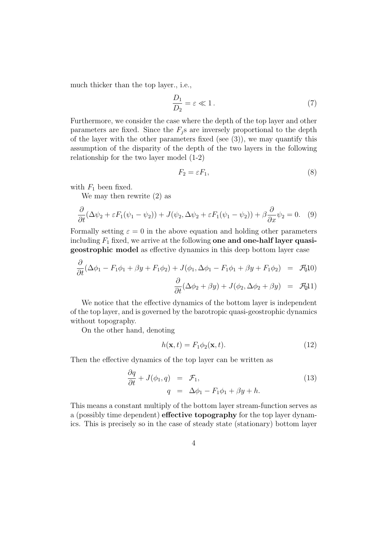much thicker than the top layer., i.e.,

$$
\frac{D_1}{D_2} = \varepsilon \ll 1. \tag{7}
$$

Furthermore, we consider the case where the depth of the top layer and other parameters are fixed. Since the  $F_i$  s are inversely proportional to the depth of the layer with the other parameters fixed (see  $(3)$ ), we may quantify this assumption of the disparity of the depth of the two layers in the following relationship for the two layer model (1-2)

$$
F_2 = \varepsilon F_1,\tag{8}
$$

with  $F_1$  been fixed.

We may then rewrite (2) as

$$
\frac{\partial}{\partial t}(\Delta \psi_2 + \varepsilon F_1(\psi_1 - \psi_2)) + J(\psi_2, \Delta \psi_2 + \varepsilon F_1(\psi_1 - \psi_2)) + \beta \frac{\partial}{\partial x} \psi_2 = 0. \quad (9)
$$

Formally setting  $\varepsilon = 0$  in the above equation and holding other parameters including  $F_1$  fixed, we arrive at the following one and one-half layer quasigeostrophic model as effective dynamics in this deep bottom layer case

$$
\frac{\partial}{\partial t}(\Delta \phi_1 - F_1 \phi_1 + \beta y + F_1 \phi_2) + J(\phi_1, \Delta \phi_1 - F_1 \phi_1 + \beta y + F_1 \phi_2) = \mathcal{F}_1(10)
$$

$$
\frac{\partial}{\partial t}(\Delta \phi_2 + \beta y) + J(\phi_2, \Delta \phi_2 + \beta y) = \mathcal{F}_2[1]
$$

We notice that the effective dynamics of the bottom layer is independent of the top layer, and is governed by the barotropic quasi-geostrophic dynamics without topography.

On the other hand, denoting

$$
h(\mathbf{x},t) = F_1 \phi_2(\mathbf{x},t). \tag{12}
$$

Then the effective dynamics of the top layer can be written as

$$
\frac{\partial q}{\partial t} + J(\phi_1, q) = \mathcal{F}_1, \n q = \Delta \phi_1 - F_1 \phi_1 + \beta y + h.
$$
\n(13)

This means a constant multiply of the bottom layer stream-function serves as a (possibly time dependent) effective topography for the top layer dynamics. This is precisely so in the case of steady state (stationary) bottom layer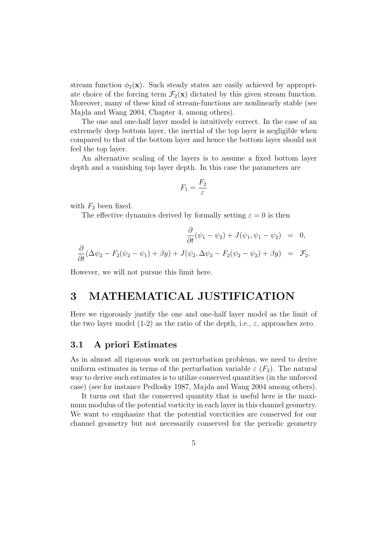stream function  $\phi_2(\mathbf{x})$ . Such steady states are easily achieved by appropriate choice of the forcing term  $\mathcal{F}_2(\mathbf{x})$  dictated by this given stream function. Moreover, many of these kind of stream-functions are nonlinearly stable (see Majda and Wang 2004, Chapter 4, among others).

The one and one-half layer model is intuitively correct. In the case of an extremely deep bottom layer, the inertial of the top layer is negligible when compared to that of the bottom layer and hence the bottom layer should not feel the top layer.

An alternative scaling of the layers is to assume a fixed bottom layer depth and a vanishing top layer depth. In this case the parameters are

$$
F_1 = \frac{F_2}{\varepsilon}
$$

with  $F_2$  been fixed.

The effective dynamics derived by formally setting  $\varepsilon = 0$  is then

$$
\frac{\partial}{\partial t}(\psi_1 - \psi_2) + J(\psi_1, \psi_1 - \psi_2) = 0,
$$
  

$$
\frac{\partial}{\partial t}(\Delta \psi_2 - F_2(\psi_2 - \psi_1) + \beta y) + J(\psi_2, \Delta \psi_2 - F_2(\psi_2 - \psi_2) + \beta y) = \mathcal{F}_2.
$$

However, we will not pursue this limit here.

### 3 MATHEMATICAL JUSTIFICATION

Here we rigorously justify the one and one-half layer model as the limit of the two layer model (1-2) as the ratio of the depth, i.e.,  $\varepsilon$ , approaches zero.

#### 3.1 A priori Estimates

As in almost all rigorous work on perturbation problems, we need to derive uniform estimates in terms of the perturbation variable  $\varepsilon$  ( $F_2$ ). The natural way to derive such estimates is to utilize conserved quantities (in the unforced case) (see for instance Pedlosky 1987, Majda and Wang 2004 among others).

It turns out that the conserved quantity that is useful here is the maximum modulus of the potential vorticity in each layer in this channel geometry. We want to emphasize that the potential vorcticities are conserved for our channel geometry but not necessarily conserved for the periodic geometry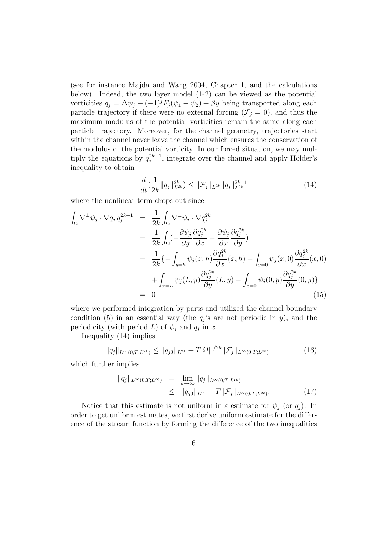(see for instance Majda and Wang 2004, Chapter 1, and the calculations below). Indeed, the two layer model (1-2) can be viewed as the potential vorticities  $q_j = \Delta \psi_j + (-1)^j F_j(\psi_1 - \psi_2) + \beta y$  being transported along each particle trajectory if there were no external forcing  $(\mathcal{F}_i = 0)$ , and thus the maximum modulus of the potential vorticities remain the same along each particle trajectory. Moreover, for the channel geometry, trajectories start within the channel never leave the channel which ensures the conservation of the modulus of the potential vorticity. In our forced situation, we may multiply the equations by  $q_j^{2k-1}$ , integrate over the channel and apply Hölder's inequality to obtain

$$
\frac{d}{dt}(\frac{1}{2k}||q_j||_{L^{2k}}^{2k}) \le ||\mathcal{F}_j||_{L^{2k}}||q_j||_{L^{2k}}^{2k-1}
$$
\n(14)

where the nonlinear term drops out since

$$
\int_{\Omega} \nabla^{\perp} \psi_j \cdot \nabla q_j q_j^{2k-1} = \frac{1}{2k} \int_{\Omega} \nabla^{\perp} \psi_j \cdot \nabla q_j^{2k}
$$
\n
$$
= \frac{1}{2k} \int_{\Omega} \left( -\frac{\partial \psi_j}{\partial y} \frac{\partial q_j^{2k}}{\partial x} + \frac{\partial \psi_j}{\partial x} \frac{\partial q_j^{2k}}{\partial y} \right)
$$
\n
$$
= \frac{1}{2k} \left\{ -\int_{y=h} \psi_j(x, h) \frac{\partial q_j^{2k}}{\partial x} (x, h) + \int_{y=0} \psi_j(x, 0) \frac{\partial q_j^{2k}}{\partial x} (x, 0) \right\}
$$
\n
$$
+ \int_{x=L} \psi_j(L, y) \frac{\partial q_j^{2k}}{\partial y} (L, y) - \int_{x=0} \psi_j(0, y) \frac{\partial q_j^{2k}}{\partial y} (0, y) \}
$$
\n
$$
= 0
$$
\n(15)

where we performed integration by parts and utilized the channel boundary condition (5) in an essential way (the  $q_j$ 's are not periodic in y), and the periodicity (with period L) of  $\psi_j$  and  $q_j$  in x.

Inequality (14) implies

$$
||q_j||_{L^{\infty}(0,T;L^{2k})} \le ||q_{j0}||_{L^{2k}} + T|\Omega|^{1/2k} ||\mathcal{F}_j||_{L^{\infty}(0,T;L^{\infty})}
$$
(16)

which further implies

$$
\|q_j\|_{L^{\infty}(0,T;L^{\infty})} = \lim_{k \to \infty} \|q_j\|_{L^{\infty}(0,T;L^{2k})}
$$
  
 
$$
\leq \|q_{j0}\|_{L^{\infty}} + T \|\mathcal{F}_j\|_{L^{\infty}(0,T;L^{\infty})}.
$$
 (17)

Notice that this estimate is not uniform in  $\varepsilon$  estimate for  $\psi_i$  (or  $q_i$ ). In order to get uniform estimates, we first derive uniform estimate for the difference of the stream function by forming the difference of the two inequalities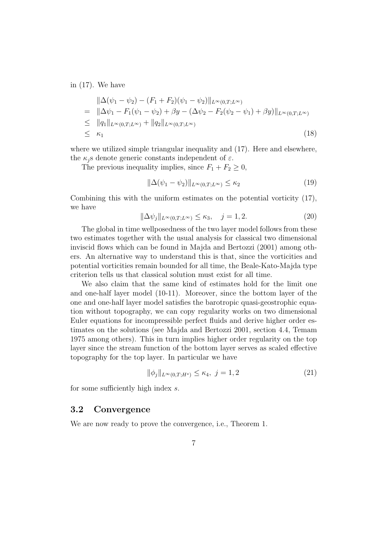in (17). We have

$$
\|\Delta(\psi_1 - \psi_2) - (F_1 + F_2)(\psi_1 - \psi_2)\|_{L^{\infty}(0,T;L^{\infty})}
$$
\n
$$
= \|\Delta\psi_1 - F_1(\psi_1 - \psi_2) + \beta y - (\Delta\psi_2 - F_2(\psi_2 - \psi_1) + \beta y)\|_{L^{\infty}(0,T;L^{\infty})}
$$
\n
$$
\leq \|q_1\|_{L^{\infty}(0,T;L^{\infty})} + \|q_2\|_{L^{\infty}(0,T;L^{\infty})}
$$
\n
$$
\leq \kappa_1
$$
\n(18)

where we utilized simple triangular inequality and (17). Here and elsewhere, the  $\kappa_i$  s denote generic constants independent of  $\varepsilon$ .

The previous inequality implies, since  $F_1 + F_2 \geq 0$ ,

$$
\|\Delta(\psi_1 - \psi_2)\|_{L^\infty(0,T;L^\infty)} \le \kappa_2 \tag{19}
$$

Combining this with the uniform estimates on the potential vorticity (17), we have

$$
\|\Delta \psi_j\|_{L^\infty(0,T;L^\infty)} \le \kappa_3, \quad j = 1,2. \tag{20}
$$

The global in time wellposedness of the two layer model follows from these two estimates together with the usual analysis for classical two dimensional inviscid flows which can be found in Majda and Bertozzi (2001) among others. An alternative way to understand this is that, since the vorticities and potential vorticities remain bounded for all time, the Beale-Kato-Majda type criterion tells us that classical solution must exist for all time.

We also claim that the same kind of estimates hold for the limit one and one-half layer model (10-11). Moreover, since the bottom layer of the one and one-half layer model satisfies the barotropic quasi-geostrophic equation without topography, we can copy regularity works on two dimensional Euler equations for incompressible perfect fluids and derive higher order estimates on the solutions (see Majda and Bertozzi 2001, section 4.4, Temam 1975 among others). This in turn implies higher order regularity on the top layer since the stream function of the bottom layer serves as scaled effective topography for the top layer. In particular we have

$$
\|\phi_j\|_{L^{\infty}(0,T;H^s)} \le \kappa_4, \ j = 1,2 \tag{21}
$$

for some sufficiently high index s.

#### 3.2 Convergence

We are now ready to prove the convergence, i.e., Theorem 1.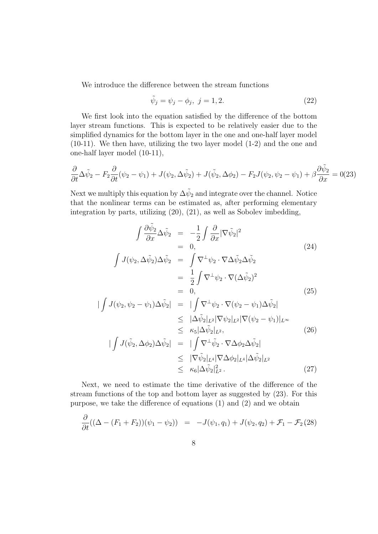We introduce the difference between the stream functions

$$
\tilde{\psi}_j = \psi_j - \phi_j, \ j = 1, 2. \tag{22}
$$

We first look into the equation satisfied by the difference of the bottom layer stream functions. This is expected to be relatively easier due to the simplified dynamics for the bottom layer in the one and one-half layer model (10-11). We then have, utilizing the two layer model (1-2) and the one and one-half layer model (10-11),

$$
\frac{\partial}{\partial t}\Delta \tilde{\psi}_2 - F_2 \frac{\partial}{\partial t}(\psi_2 - \psi_1) + J(\psi_2, \Delta \tilde{\psi}_2) + J(\tilde{\psi}_2, \Delta \phi_2) - F_2 J(\psi_2, \psi_2 - \psi_1) + \beta \frac{\partial \tilde{\psi}_2}{\partial x} = 0
$$
(23)

Next we multiply this equation by  $\Delta \tilde{\psi}_2$  and integrate over the channel. Notice that the nonlinear terms can be estimated as, after performing elementary integration by parts, utilizing (20), (21), as well as Sobolev imbedding,

$$
\int \frac{\partial \tilde{\psi}_2}{\partial x} \Delta \tilde{\psi}_2 = -\frac{1}{2} \int \frac{\partial}{\partial x} |\nabla \tilde{\psi}_2|^2
$$
\n
$$
= 0,
$$
\n
$$
\int J(\psi_2, \Delta \tilde{\psi}_2) \Delta \tilde{\psi}_2 = \int \nabla^{\perp} \psi_2 \cdot \nabla \Delta \tilde{\psi}_2 \Delta \tilde{\psi}_2
$$
\n
$$
= \frac{1}{2} \int \nabla^{\perp} \psi_2 \cdot \nabla (\Delta \tilde{\psi}_2)^2
$$
\n
$$
= 0,
$$
\n
$$
\int J(\psi_2, \psi_2 - \psi_1) \Delta \tilde{\psi}_2 | = | \int \nabla^{\perp} \psi_2 \cdot \nabla (\psi_2 - \psi_1) \Delta \tilde{\psi}_2 |
$$
\n(25)

$$
\begin{aligned}\n|\int J(\psi_2, \psi_2 - \psi_1) \Delta \tilde{\psi}_2| &= |\int \nabla^{\perp} \psi_2 \cdot \nabla (\psi_2 - \psi_1) \Delta \tilde{\psi}_2| \\
&\leq |\Delta \tilde{\psi}_2|_{L^2} |\nabla \psi_2|_{L^2} |\nabla (\psi_2 - \psi_1)|_{L^\infty} \\
&\leq \kappa_5 |\Delta \tilde{\psi}_2|_{L^2},\n\end{aligned} \tag{26}
$$

$$
\begin{split}\n|\int J(\tilde{\psi}_2, \Delta \phi_2) \Delta \tilde{\psi}_2| &= |\int \nabla^{\perp} \tilde{\psi}_2 \cdot \nabla \Delta \phi_2 \Delta \tilde{\psi}_2| \\
&\leq |\nabla \tilde{\psi}_2|_{L^4} |\nabla \Delta \phi_2|_{L^4} |\Delta \tilde{\psi}_2|_{L^2} \\
&\leq \kappa_6 |\Delta \tilde{\psi}_2|_{L^2}^2.\n\end{split} \tag{27}
$$

Next, we need to estimate the time derivative of the difference of the stream functions of the top and bottom layer as suggested by (23). For this purpose, we take the difference of equations (1) and (2) and we obtain

$$
\frac{\partial}{\partial t}((\Delta - (F_1 + F_2))(\psi_1 - \psi_2)) = -J(\psi_1, q_1) + J(\psi_2, q_2) + \mathcal{F}_1 - \mathcal{F}_2(28)
$$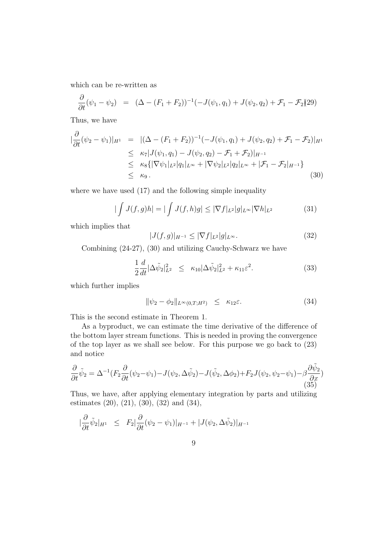which can be re-written as

$$
\frac{\partial}{\partial t}(\psi_1 - \psi_2) = (\Delta - (F_1 + F_2))^{-1}(-J(\psi_1, q_1) + J(\psi_2, q_2) + \mathcal{F}_1 - \mathcal{F}_2)(29)
$$

Thus, we have

$$
\begin{split}\n|\frac{\partial}{\partial t}(\psi_2 - \psi_1)|_{H^1} &= |(\Delta - (F_1 + F_2))^{-1}(-J(\psi_1, q_1) + J(\psi_2, q_2) + \mathcal{F}_1 - \mathcal{F}_2)|_{H^1} \\
&\leq \kappa_7 |J(\psi_1, q_1) - J(\psi_2, q_2) - \mathcal{F}_1 + \mathcal{F}_2)|_{H^{-1}} \\
&\leq \kappa_8 \{|\nabla \psi_1|_{L^2}|q_1|_{L^\infty} + |\nabla \psi_2|_{L^2}|q_2|_{L^\infty} + |\mathcal{F}_1 - \mathcal{F}_2|_{H^{-1}}\} \\
&\leq \kappa_9.\n\end{split} \tag{30}
$$

where we have used (17) and the following simple inequality

$$
|\int J(f,g)h| = |\int J(f,h)g| \le |\nabla f|_{L^2}|g|_{L^\infty} |\nabla h|_{L^2}
$$
\n(31)

which implies that

$$
|J(f,g)|_{H^{-1}} \le |\nabla f|_{L^2}|g|_{L^{\infty}}.\tag{32}
$$

Combining (24-27), (30) and utilizing Cauchy-Schwarz we have

$$
\frac{1}{2}\frac{d}{dt}|\Delta \tilde{\psi}_2|_{L^2}^2 \le \kappa_{10}|\Delta \tilde{\psi}_2|_{L^2}^2 + \kappa_{11}\varepsilon^2. \tag{33}
$$

which further implies

$$
\|\psi_2 - \phi_2\|_{L^\infty(0,T;H^2)} \le \kappa_{12}\varepsilon. \tag{34}
$$

This is the second estimate in Theorem 1.

As a byproduct, we can estimate the time derivative of the difference of the bottom layer stream functions. This is needed in proving the convergence of the top layer as we shall see below. For this purpose we go back to (23) and notice

$$
\frac{\partial}{\partial t}\tilde{\psi}_2 = \Delta^{-1}(F_2 \frac{\partial}{\partial t}(\psi_2 - \psi_1) - J(\psi_2, \Delta \tilde{\psi}_2) - J(\tilde{\psi}_2, \Delta \phi_2) + F_2 J(\psi_2, \psi_2 - \psi_1) - \beta \frac{\partial \tilde{\psi}_2}{\partial x})
$$
\n(35)

Thus, we have, after applying elementary integration by parts and utilizing estimates (20), (21), (30), (32) and (34),

$$
\left|\frac{\partial}{\partial t}\tilde{\psi}_2\right|_{H^1} \leq F_2 \left|\frac{\partial}{\partial t}(\psi_2 - \psi_1)\right|_{H^{-1}} + |J(\psi_2, \Delta \tilde{\psi}_2)|_{H^{-1}}
$$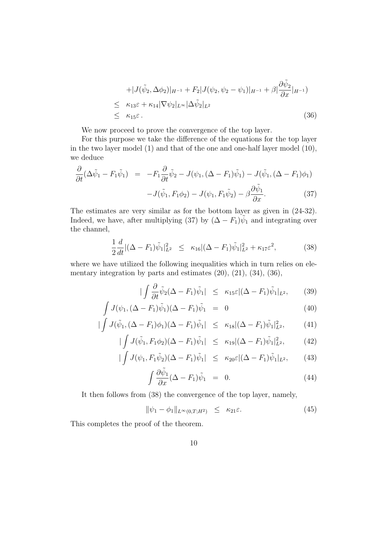$$
+|J(\tilde{\psi}_2, \Delta \phi_2)|_{H^{-1}} + F_2|J(\psi_2, \psi_2 - \psi_1)|_{H^{-1}} + \beta |\frac{\partial \tilde{\psi}_2}{\partial x}|_{H^{-1}})
$$
  
\n
$$
\leq \kappa_{13}\varepsilon + \kappa_{14} |\nabla \psi_2|_{L^{\infty}} |\Delta \tilde{\psi}_2|_{L^2}
$$
  
\n
$$
\leq \kappa_{15}\varepsilon.
$$
\n(36)

We now proceed to prove the convergence of the top layer.

For this purpose we take the difference of the equations for the top layer in the two layer model (1) and that of the one and one-half layer model (10), we deduce

$$
\frac{\partial}{\partial t} (\Delta \tilde{\psi}_1 - F_1 \tilde{\psi}_1) = -F_1 \frac{\partial}{\partial t} \tilde{\psi}_2 - J(\psi_1, (\Delta - F_1) \tilde{\psi}_1) - J(\tilde{\psi}_1, (\Delta - F_1) \phi_1)
$$

$$
-J(\tilde{\psi}_1, F_1 \phi_2) - J(\psi_1, F_1 \tilde{\psi}_2) - \beta \frac{\partial \tilde{\psi}_1}{\partial x}.
$$
(37)

The estimates are very similar as for the bottom layer as given in (24-32). Indeed, we have, after multiplying (37) by  $(\Delta - F_1)\tilde{\psi}_1$  and integrating over the channel,

$$
\frac{1}{2}\frac{d}{dt}|(\Delta - F_1)\tilde{\psi}_1|_{L^2}^2 \le \kappa_{16}|(\Delta - F_1)\tilde{\psi}_1|_{L^2}^2 + \kappa_{17}\varepsilon^2,\tag{38}
$$

where we have utilized the following inequalities which in turn relies on elementary integration by parts and estimates (20), (21), (34), (36),

$$
|\int \frac{\partial}{\partial t} \tilde{\psi}_2(\Delta - F_1)\tilde{\psi}_1| \leq \kappa_{15}\varepsilon |(\Delta - F_1)\tilde{\psi}_1|_{L^2}, \qquad (39)
$$

$$
\int J(\psi_1, (\Delta - F_1)\tilde{\psi}_1)(\Delta - F_1)\tilde{\psi}_1 = 0 \tag{40}
$$

$$
|\int J(\tilde{\psi}_1, (\Delta - F_1)\phi_1)(\Delta - F_1)\tilde{\psi}_1| \le \kappa_{18}|(\Delta - F_1)\tilde{\psi}_1|_{L^2}^2, \tag{41}
$$

$$
|\int J(\tilde{\psi}_1, F_1 \phi_2)(\Delta - F_1)\tilde{\psi}_1| \le \kappa_{19} |(\Delta - F_1)\tilde{\psi}_1|_{L^2}^2, \tag{42}
$$

$$
|\int J(\psi_1, F_1\tilde{\psi}_2)(\Delta - F_1)\tilde{\psi}_1| \le \kappa_{20}\varepsilon |(\Delta - F_1)\tilde{\psi}_1|_{L^2}, \qquad (43)
$$

$$
\int \frac{\partial \psi_1}{\partial x} (\Delta - F_1) \tilde{\psi}_1 = 0. \tag{44}
$$

It then follows from (38) the convergence of the top layer, namely,

$$
\|\psi_1 - \phi_1\|_{L^{\infty}(0,T;H^2)} \leq \kappa_{21}\varepsilon. \tag{45}
$$

This completes the proof of the theorem.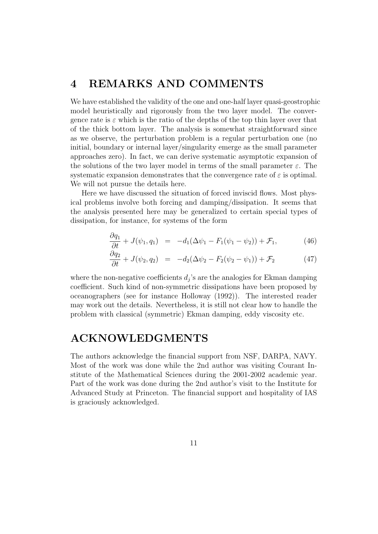# 4 REMARKS AND COMMENTS

We have established the validity of the one and one-half layer quasi-geostrophic model heuristically and rigorously from the two layer model. The convergence rate is  $\varepsilon$  which is the ratio of the depths of the top thin layer over that of the thick bottom layer. The analysis is somewhat straightforward since as we observe, the perturbation problem is a regular perturbation one (no initial, boundary or internal layer/singularity emerge as the small parameter approaches zero). In fact, we can derive systematic asymptotic expansion of the solutions of the two layer model in terms of the small parameter  $\varepsilon$ . The systematic expansion demonstrates that the convergence rate of  $\varepsilon$  is optimal. We will not pursue the details here.

Here we have discussed the situation of forced inviscid flows. Most physical problems involve both forcing and damping/dissipation. It seems that the analysis presented here may be generalized to certain special types of dissipation, for instance, for systems of the form

$$
\frac{\partial q_1}{\partial t} + J(\psi_1, q_1) = -d_1(\Delta \psi_1 - F_1(\psi_1 - \psi_2)) + \mathcal{F}_1, \tag{46}
$$

$$
\frac{\partial q_2}{\partial t} + J(\psi_2, q_2) = -d_2(\Delta \psi_2 - F_2(\psi_2 - \psi_1)) + \mathcal{F}_2 \tag{47}
$$

where the non-negative coefficients  $d_j$ 's are the analogies for Ekman damping coefficient. Such kind of non-symmetric dissipations have been proposed by oceanographers (see for instance Holloway (1992)). The interested reader may work out the details. Nevertheless, it is still not clear how to handle the problem with classical (symmetric) Ekman damping, eddy viscosity etc.

## ACKNOWLEDGMENTS

The authors acknowledge the financial support from NSF, DARPA, NAVY. Most of the work was done while the 2nd author was visiting Courant Institute of the Mathematical Sciences during the 2001-2002 academic year. Part of the work was done during the 2nd author's visit to the Institute for Advanced Study at Princeton. The financial support and hospitality of IAS is graciously acknowledged.